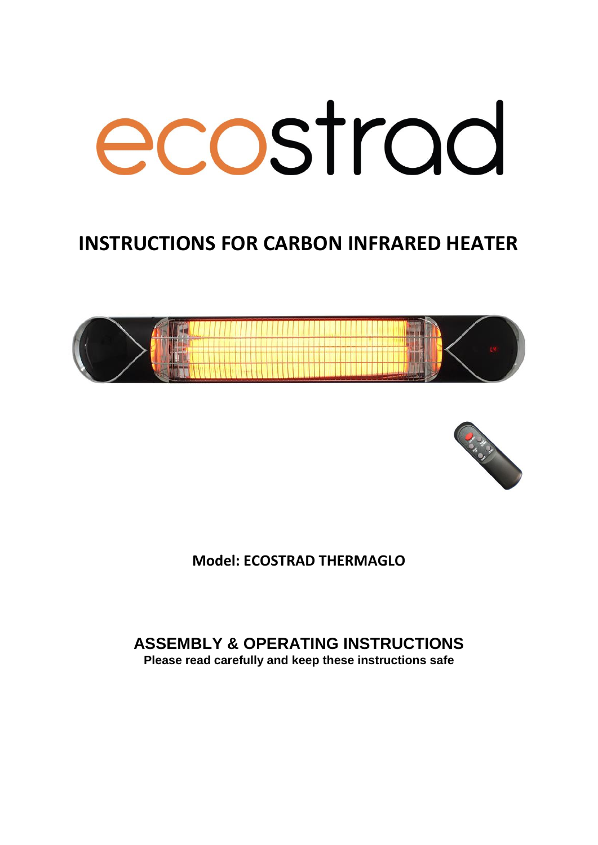# ecostrad

# **INSTRUCTIONS FOR CARBON INFRARED HEATER**





**Model: ECOSTRAD THERMAGLO**

**ASSEMBLY & OPERATING INSTRUCTIONS Please read carefully and keep these instructions safe**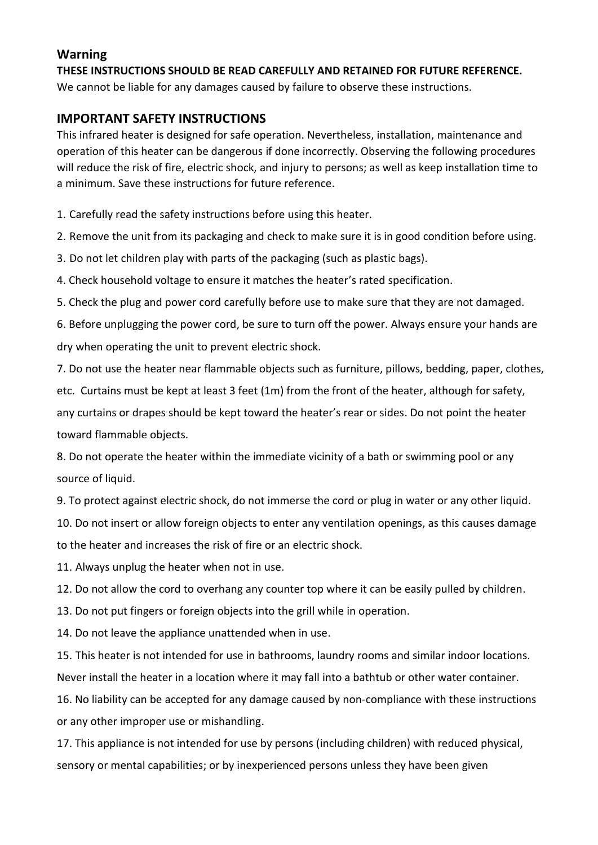### **Warning**

**THESE INSTRUCTIONS SHOULD BE READ CAREFULLY AND RETAINED FOR FUTURE REFERENCE.** We cannot be liable for any damages caused by failure to observe these instructions.

### **IMPORTANT SAFETY INSTRUCTIONS**

This infrared heater is designed for safe operation. Nevertheless, installation, maintenance and operation of this heater can be dangerous if done incorrectly. Observing the following procedures will reduce the risk of fire, electric shock, and injury to persons; as well as keep installation time to a minimum. Save these instructions for future reference.

1. Carefully read the safety instructions before using this heater.

2. Remove the unit from its packaging and check to make sure it is in good condition before using.

3. Do not let children play with parts of the packaging (such as plastic bags).

4. Check household voltage to ensure it matches the heater's rated specification.

5. Check the plug and power cord carefully before use to make sure that they are not damaged.

6. Before unplugging the power cord, be sure to turn off the power. Always ensure your hands are dry when operating the unit to prevent electric shock.

7. Do not use the heater near flammable objects such as furniture, pillows, bedding, paper, clothes,

etc. Curtains must be kept at least 3 feet (1m) from the front of the heater, although for safety,

any curtains or drapes should be kept toward the heater's rear or sides. Do not point the heater toward flammable objects.

8. Do not operate the heater within the immediate vicinity of a bath or swimming pool or any source of liquid.

9. To protect against electric shock, do not immerse the cord or plug in water or any other liquid.

10. Do not insert or allow foreign objects to enter any ventilation openings, as this causes damage to the heater and increases the risk of fire or an electric shock.

11. Always unplug the heater when not in use.

12. Do not allow the cord to overhang any counter top where it can be easily pulled by children.

13. Do not put fingers or foreign objects into the grill while in operation.

14. Do not leave the appliance unattended when in use.

15. This heater is not intended for use in bathrooms, laundry rooms and similar indoor locations. Never install the heater in a location where it may fall into a bathtub or other water container.

16. No liability can be accepted for any damage caused by non-compliance with these instructions or any other improper use or mishandling.

17. This appliance is not intended for use by persons (including children) with reduced physical, sensory or mental capabilities; or by inexperienced persons unless they have been given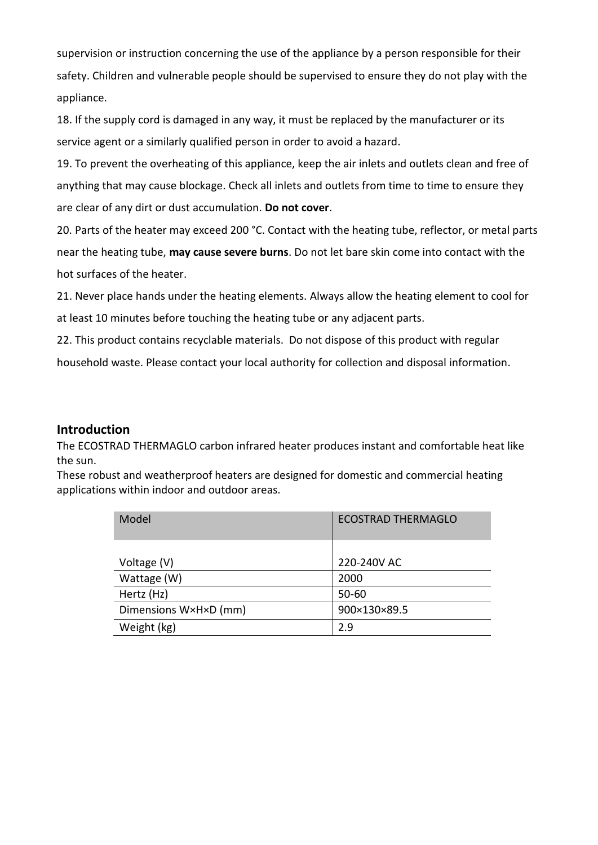supervision or instruction concerning the use of the appliance by a person responsible for their safety. Children and vulnerable people should be supervised to ensure they do not play with the appliance.

18. If the supply cord is damaged in any way, it must be replaced by the manufacturer or its service agent or a similarly qualified person in order to avoid a hazard.

19. To prevent the overheating of this appliance, keep the air inlets and outlets clean and free of anything that may cause blockage. Check all inlets and outlets from time to time to ensure they are clear of any dirt or dust accumulation. **Do not cover**.

20. Parts of the heater may exceed 200 °C. Contact with the heating tube, reflector, or metal parts near the heating tube, **may cause severe burns**. Do not let bare skin come into contact with the hot surfaces of the heater.

21. Never place hands under the heating elements. Always allow the heating element to cool for at least 10 minutes before touching the heating tube or any adjacent parts.

22. This product contains recyclable materials. Do not dispose of this product with regular

household waste. Please contact your local authority for collection and disposal information.

### **Introduction**

The ECOSTRAD THERMAGLO carbon infrared heater produces instant and comfortable heat like the sun.

These robust and weatherproof heaters are designed for domestic and commercial heating applications within indoor and outdoor areas.

| Model                 | <b>ECOSTRAD THERMAGLO</b> |
|-----------------------|---------------------------|
|                       |                           |
| Voltage (V)           | 220-240V AC               |
| Wattage (W)           | 2000                      |
| Hertz (Hz)            | $50 - 60$                 |
| Dimensions W×H×D (mm) | 900×130×89.5              |
| Weight (kg)           | 2.9                       |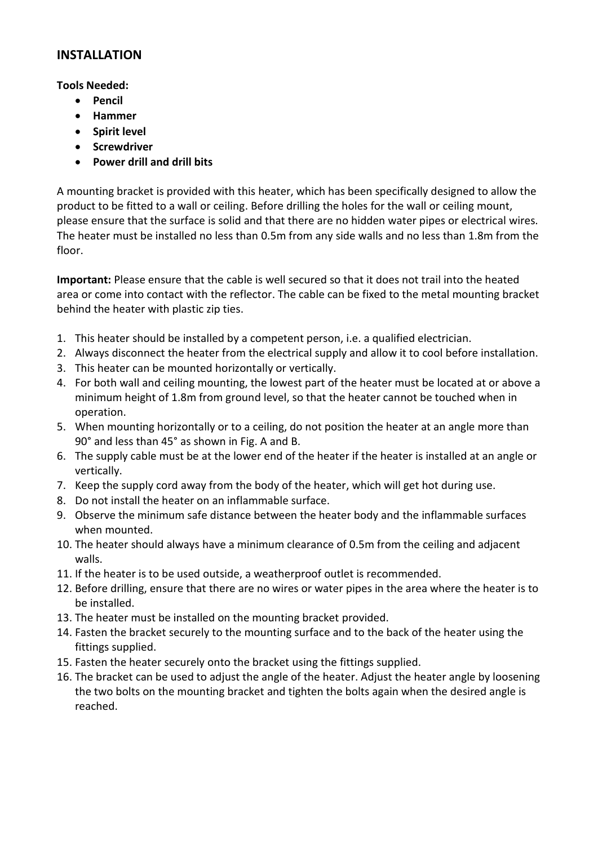### **INSTALLATION**

### **Tools Needed:**

- **Pencil**
- **Hammer**
- **Spirit level**
- **Screwdriver**
- **Power drill and drill bits**

A mounting bracket is provided with this heater, which has been specifically designed to allow the product to be fitted to a wall or ceiling. Before drilling the holes for the wall or ceiling mount, please ensure that the surface is solid and that there are no hidden water pipes or electrical wires. The heater must be installed no less than 0.5m from any side walls and no less than 1.8m from the floor.

**Important:** Please ensure that the cable is well secured so that it does not trail into the heated area or come into contact with the reflector. The cable can be fixed to the metal mounting bracket behind the heater with plastic zip ties.

- 1. This heater should be installed by a competent person, i.e. a qualified electrician.
- 2. Always disconnect the heater from the electrical supply and allow it to cool before installation.
- 3. This heater can be mounted horizontally or vertically.
- 4. For both wall and ceiling mounting, the lowest part of the heater must be located at or above a minimum height of 1.8m from ground level, so that the heater cannot be touched when in operation.
- 5. When mounting horizontally or to a ceiling, do not position the heater at an angle more than 90° and less than 45° as shown in Fig. A and B.
- 6. The supply cable must be at the lower end of the heater if the heater is installed at an angle or vertically.
- 7. Keep the supply cord away from the body of the heater, which will get hot during use.
- 8. Do not install the heater on an inflammable surface.
- 9. Observe the minimum safe distance between the heater body and the inflammable surfaces when mounted.
- 10. The heater should always have a minimum clearance of 0.5m from the ceiling and adjacent walls.
- 11. If the heater is to be used outside, a weatherproof outlet is recommended.
- 12. Before drilling, ensure that there are no wires or water pipes in the area where the heater is to be installed.
- 13. The heater must be installed on the mounting bracket provided.
- 14. Fasten the bracket securely to the mounting surface and to the back of the heater using the fittings supplied.
- 15. Fasten the heater securely onto the bracket using the fittings supplied.
- 16. The bracket can be used to adjust the angle of the heater. Adjust the heater angle by loosening the two bolts on the mounting bracket and tighten the bolts again when the desired angle is reached.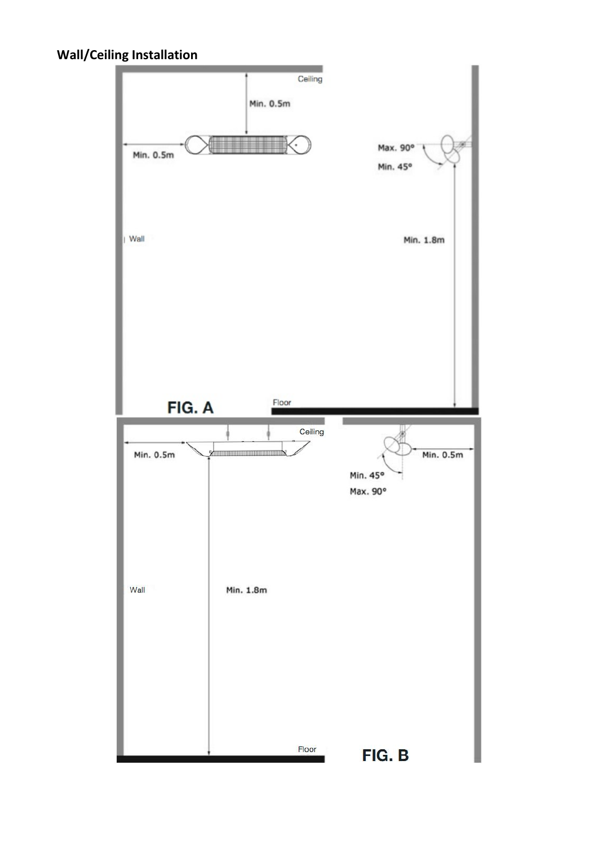## **Wall/Ceiling Installation**

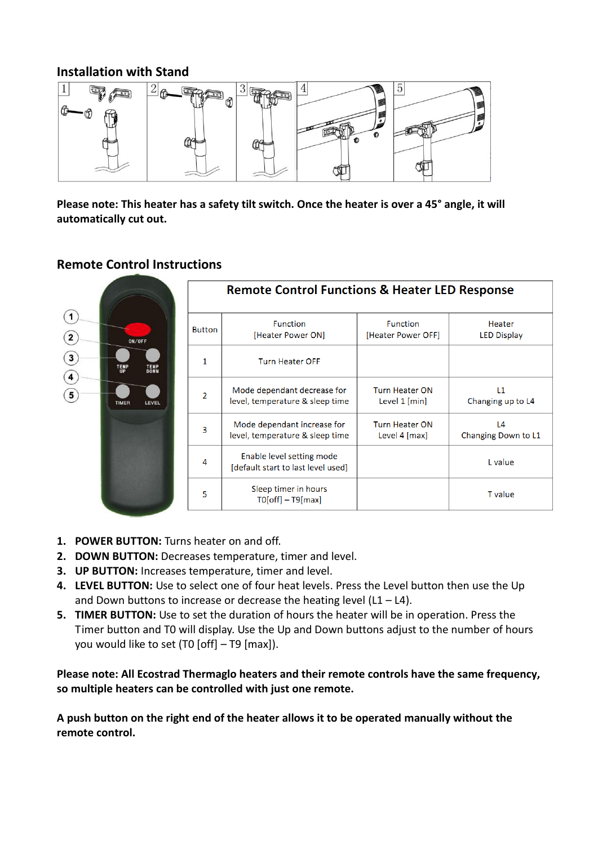### **Installation with Stand**



**Please note: This heater has a safety tilt switch. Once the heater is over a 45° angle, it will automatically cut out.**

### **Remote Control Instructions**



- **1. POWER BUTTON:** Turns heater on and off.
- **2. DOWN BUTTON:** Decreases temperature, timer and level.
- **3. UP BUTTON:** Increases temperature, timer and level.
- **4. LEVEL BUTTON:** Use to select one of four heat levels. Press the Level button then use the Up and Down buttons to increase or decrease the heating level  $(L1 - L4)$ .
- **5. TIMER BUTTON:** Use to set the duration of hours the heater will be in operation. Press the Timer button and T0 will display. Use the Up and Down buttons adjust to the number of hours you would like to set (T0 [off] – T9 [max]).

**Please note: All Ecostrad Thermaglo heaters and their remote controls have the same frequency, so multiple heaters can be controlled with just one remote.**

**A push button on the right end of the heater allows it to be operated manually without the remote control.**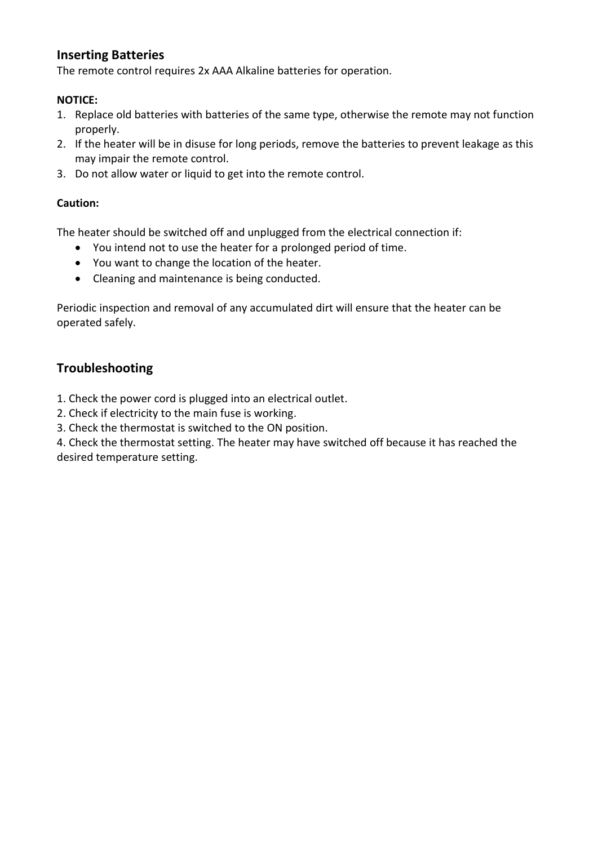### **Inserting Batteries**

The remote control requires 2x AAA Alkaline batteries for operation.

### **NOTICE:**

- 1. Replace old batteries with batteries of the same type, otherwise the remote may not function properly.
- 2. If the heater will be in disuse for long periods, remove the batteries to prevent leakage as this may impair the remote control.
- 3. Do not allow water or liquid to get into the remote control.

### **Caution:**

The heater should be switched off and unplugged from the electrical connection if:

- You intend not to use the heater for a prolonged period of time.
- You want to change the location of the heater.
- Cleaning and maintenance is being conducted.

Periodic inspection and removal of any accumulated dirt will ensure that the heater can be operated safely.

### **Troubleshooting**

1. Check the power cord is plugged into an electrical outlet.

- 2. Check if electricity to the main fuse is working.
- 3. Check the thermostat is switched to the ON position.

4. Check the thermostat setting. The heater may have switched off because it has reached the desired temperature setting.